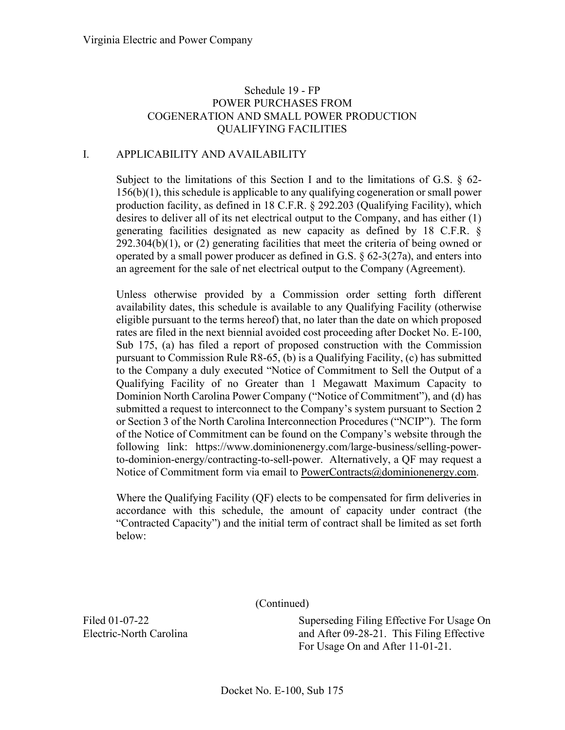## I. APPLICABILITY AND AVAILABILITY

Subject to the limitations of this Section I and to the limitations of G.S. § 62- 156(b)(1), this schedule is applicable to any qualifying cogeneration or small power production facility, as defined in 18 C.F.R. § 292.203 (Qualifying Facility), which desires to deliver all of its net electrical output to the Company, and has either (1) generating facilities designated as new capacity as defined by 18 C.F.R. § 292.304(b)(1), or (2) generating facilities that meet the criteria of being owned or operated by a small power producer as defined in G.S.  $\S 62-3(27a)$ , and enters into an agreement for the sale of net electrical output to the Company (Agreement).

Unless otherwise provided by a Commission order setting forth different availability dates, this schedule is available to any Qualifying Facility (otherwise eligible pursuant to the terms hereof) that, no later than the date on which proposed rates are filed in the next biennial avoided cost proceeding after Docket No. E-100, Sub 175, (a) has filed a report of proposed construction with the Commission pursuant to Commission Rule R8-65, (b) is a Qualifying Facility, (c) has submitted to the Company a duly executed "Notice of Commitment to Sell the Output of a Qualifying Facility of no Greater than 1 Megawatt Maximum Capacity to Dominion North Carolina Power Company ("Notice of Commitment"), and (d) has submitted a request to interconnect to the Company's system pursuant to Section 2 or Section 3 of the North Carolina Interconnection Procedures ("NCIP"). The form of the Notice of Commitment can be found on the Company's website through the following link: https://www.dominionenergy.com/large-business/selling-powerto-dominion-energy/contracting-to-sell-power. Alternatively, a QF may request a Notice of Commitment form via email to [PowerContracts@dominionenergy.com.](mailto:PowerContracts@dominionenergy.com)

Where the Qualifying Facility (QF) elects to be compensated for firm deliveries in accordance with this schedule, the amount of capacity under contract (the "Contracted Capacity") and the initial term of contract shall be limited as set forth below:

(Continued)

Superseding Filing Effective For Usage On and After 09-28-21. This Filing Effective For Usage On and After 11-01-21.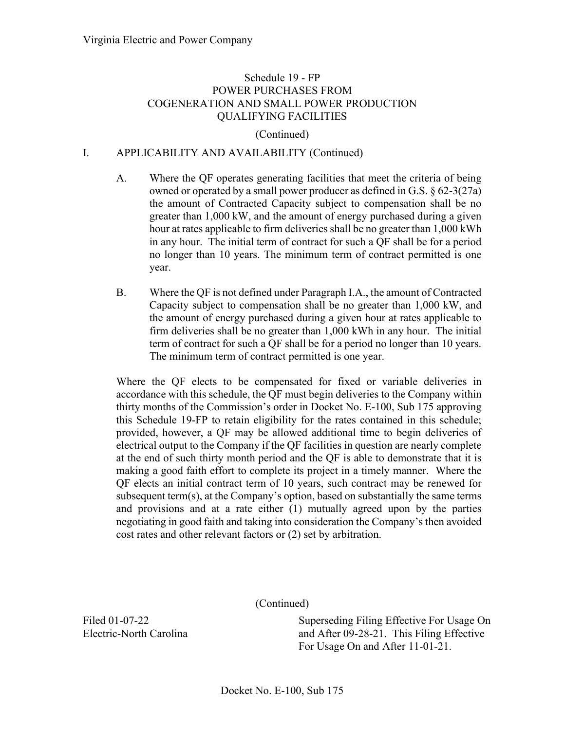#### (Continued)

### I. APPLICABILITY AND AVAILABILITY (Continued)

- A. Where the QF operates generating facilities that meet the criteria of being owned or operated by a small power producer as defined in G.S. § 62-3(27a) the amount of Contracted Capacity subject to compensation shall be no greater than 1,000 kW, and the amount of energy purchased during a given hour at rates applicable to firm deliveries shall be no greater than 1,000 kWh in any hour. The initial term of contract for such a QF shall be for a period no longer than 10 years. The minimum term of contract permitted is one year.
- B. Where the QF is not defined under Paragraph I.A., the amount of Contracted Capacity subject to compensation shall be no greater than 1,000 kW, and the amount of energy purchased during a given hour at rates applicable to firm deliveries shall be no greater than 1,000 kWh in any hour. The initial term of contract for such a QF shall be for a period no longer than 10 years. The minimum term of contract permitted is one year.

Where the QF elects to be compensated for fixed or variable deliveries in accordance with this schedule, the QF must begin deliveries to the Company within thirty months of the Commission's order in Docket No. E-100, Sub 175 approving this Schedule 19-FP to retain eligibility for the rates contained in this schedule; provided, however, a QF may be allowed additional time to begin deliveries of electrical output to the Company if the QF facilities in question are nearly complete at the end of such thirty month period and the QF is able to demonstrate that it is making a good faith effort to complete its project in a timely manner. Where the QF elects an initial contract term of 10 years, such contract may be renewed for subsequent term(s), at the Company's option, based on substantially the same terms and provisions and at a rate either (1) mutually agreed upon by the parties negotiating in good faith and taking into consideration the Company's then avoided cost rates and other relevant factors or (2) set by arbitration.

(Continued)

Superseding Filing Effective For Usage On and After 09-28-21. This Filing Effective For Usage On and After 11-01-21.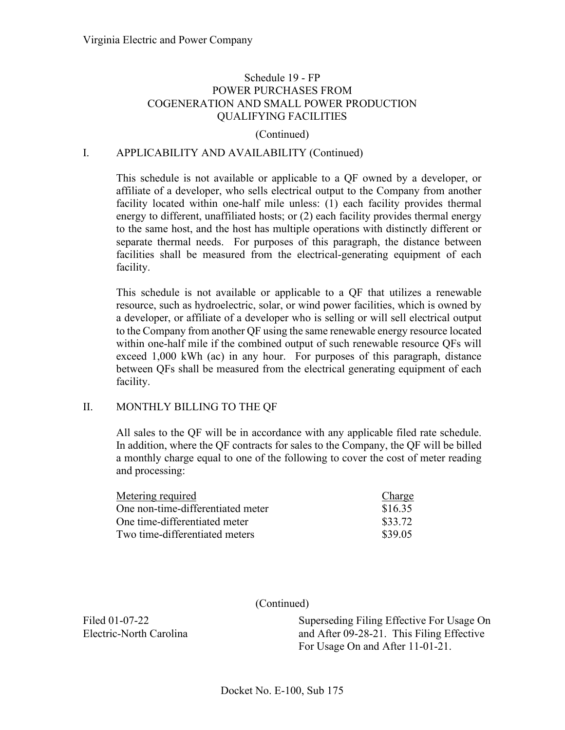#### (Continued)

### I. APPLICABILITY AND AVAILABILITY (Continued)

This schedule is not available or applicable to a QF owned by a developer, or affiliate of a developer, who sells electrical output to the Company from another facility located within one-half mile unless: (1) each facility provides thermal energy to different, unaffiliated hosts; or (2) each facility provides thermal energy to the same host, and the host has multiple operations with distinctly different or separate thermal needs. For purposes of this paragraph, the distance between facilities shall be measured from the electrical-generating equipment of each facility.

This schedule is not available or applicable to a QF that utilizes a renewable resource, such as hydroelectric, solar, or wind power facilities, which is owned by a developer, or affiliate of a developer who is selling or will sell electrical output to the Company from another QF using the same renewable energy resource located within one-half mile if the combined output of such renewable resource QFs will exceed 1,000 kWh (ac) in any hour. For purposes of this paragraph, distance between QFs shall be measured from the electrical generating equipment of each facility.

#### II. MONTHLY BILLING TO THE QF

All sales to the QF will be in accordance with any applicable filed rate schedule. In addition, where the QF contracts for sales to the Company, the QF will be billed a monthly charge equal to one of the following to cover the cost of meter reading and processing:

| Metering required                 | Charge  |
|-----------------------------------|---------|
| One non-time-differentiated meter | \$16.35 |
| One time-differentiated meter     | \$33.72 |
| Two time-differentiated meters    | \$39.05 |

(Continued)

Superseding Filing Effective For Usage On and After 09-28-21. This Filing Effective For Usage On and After 11-01-21.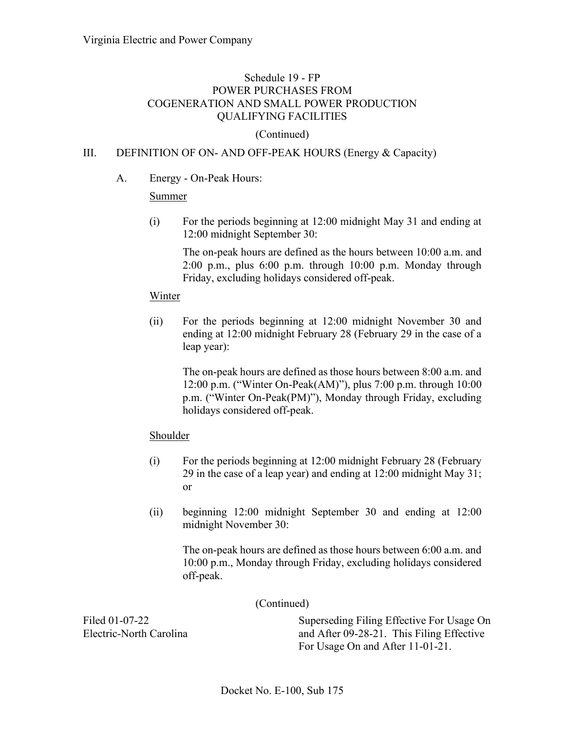## (Continued)

## III. DEFINITION OF ON- AND OFF-PEAK HOURS (Energy & Capacity)

### A. Energy - On-Peak Hours:

### **Summer**

(i) For the periods beginning at 12:00 midnight May 31 and ending at 12:00 midnight September 30:

> The on-peak hours are defined as the hours between 10:00 a.m. and 2:00 p.m., plus 6:00 p.m. through 10:00 p.m. Monday through Friday, excluding holidays considered off-peak.

#### Winter

(ii) For the periods beginning at 12:00 midnight November 30 and ending at 12:00 midnight February 28 (February 29 in the case of a leap year):

> The on-peak hours are defined as those hours between 8:00 a.m. and 12:00 p.m. ("Winter On-Peak(AM)"), plus 7:00 p.m. through 10:00 p.m. ("Winter On-Peak(PM)"), Monday through Friday, excluding holidays considered off-peak.

### Shoulder

- (i) For the periods beginning at 12:00 midnight February 28 (February 29 in the case of a leap year) and ending at 12:00 midnight May 31; or
- (ii) beginning 12:00 midnight September 30 and ending at 12:00 midnight November 30:

The on-peak hours are defined as those hours between 6:00 a.m. and 10:00 p.m., Monday through Friday, excluding holidays considered off-peak.

(Continued)

Superseding Filing Effective For Usage On and After 09-28-21. This Filing Effective For Usage On and After 11-01-21.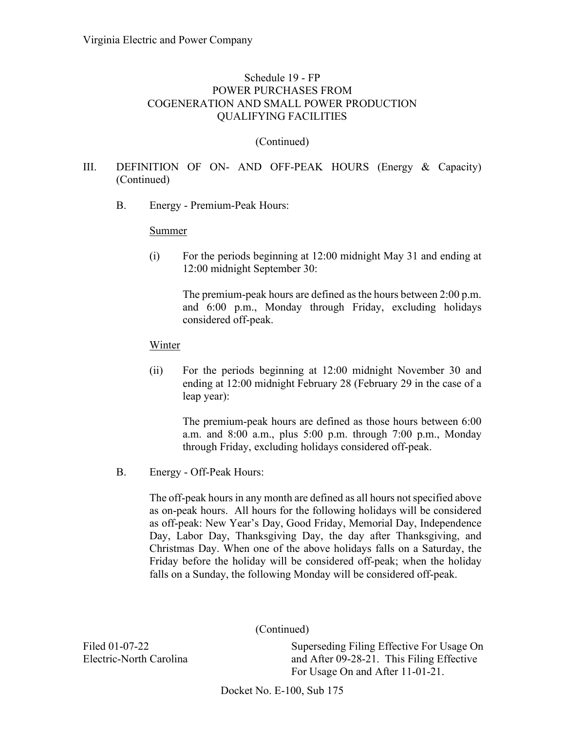### (Continued)

## III. DEFINITION OF ON- AND OFF-PEAK HOURS (Energy & Capacity) (Continued)

B. Energy - Premium-Peak Hours:

#### **Summer**

(i) For the periods beginning at 12:00 midnight May 31 and ending at 12:00 midnight September 30:

The premium-peak hours are defined as the hours between 2:00 p.m. and 6:00 p.m., Monday through Friday, excluding holidays considered off-peak.

#### Winter

(ii) For the periods beginning at 12:00 midnight November 30 and ending at 12:00 midnight February 28 (February 29 in the case of a leap year):

The premium-peak hours are defined as those hours between 6:00 a.m. and 8:00 a.m., plus 5:00 p.m. through 7:00 p.m., Monday through Friday, excluding holidays considered off-peak.

B. Energy - Off-Peak Hours:

The off-peak hours in any month are defined as all hours not specified above as on-peak hours. All hours for the following holidays will be considered as off-peak: New Year's Day, Good Friday, Memorial Day, Independence Day, Labor Day, Thanksgiving Day, the day after Thanksgiving, and Christmas Day. When one of the above holidays falls on a Saturday, the Friday before the holiday will be considered off-peak; when the holiday falls on a Sunday, the following Monday will be considered off-peak.

(Continued)

Filed 01-07-22 Electric-North Carolina Superseding Filing Effective For Usage On and After 09-28-21. This Filing Effective For Usage On and After 11-01-21.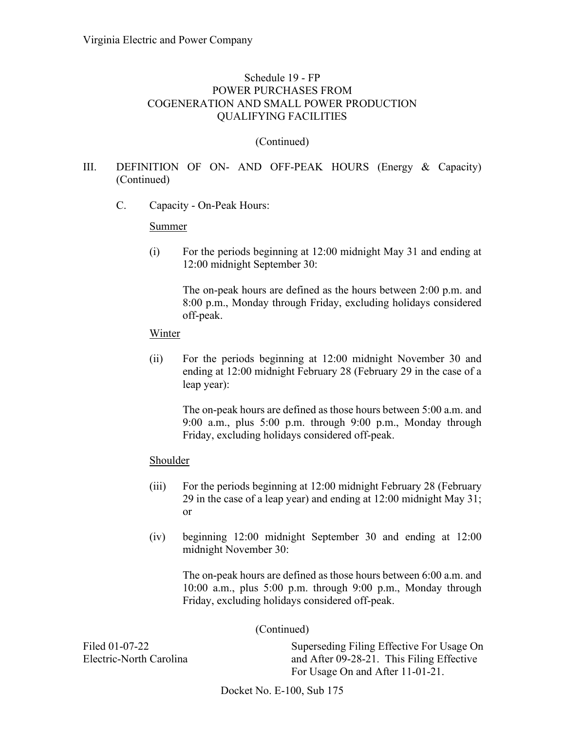### (Continued)

## III. DEFINITION OF ON- AND OFF-PEAK HOURS (Energy & Capacity) (Continued)

C. Capacity - On-Peak Hours:

#### Summer

(i) For the periods beginning at 12:00 midnight May 31 and ending at 12:00 midnight September 30:

The on-peak hours are defined as the hours between 2:00 p.m. and 8:00 p.m., Monday through Friday, excluding holidays considered off-peak.

#### Winter

(ii) For the periods beginning at 12:00 midnight November 30 and ending at 12:00 midnight February 28 (February 29 in the case of a leap year):

The on-peak hours are defined as those hours between 5:00 a.m. and 9:00 a.m., plus 5:00 p.m. through 9:00 p.m., Monday through Friday, excluding holidays considered off-peak.

### **Shoulder**

- (iii) For the periods beginning at 12:00 midnight February 28 (February 29 in the case of a leap year) and ending at 12:00 midnight May 31; or
- (iv) beginning 12:00 midnight September 30 and ending at 12:00 midnight November 30:

The on-peak hours are defined as those hours between 6:00 a.m. and 10:00 a.m., plus 5:00 p.m. through 9:00 p.m., Monday through Friday, excluding holidays considered off-peak.

### (Continued)

Filed 01-07-22 Electric-North Carolina

Superseding Filing Effective For Usage On and After 09-28-21. This Filing Effective For Usage On and After 11-01-21.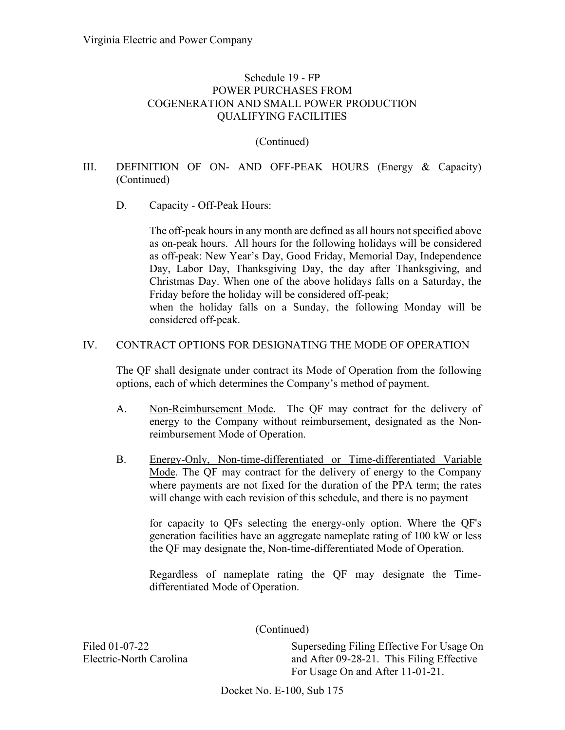### (Continued)

# III. DEFINITION OF ON- AND OFF-PEAK HOURS (Energy & Capacity) (Continued)

### D. Capacity - Off-Peak Hours:

considered off-peak.

The off-peak hours in any month are defined as all hours not specified above as on-peak hours. All hours for the following holidays will be considered as off-peak: New Year's Day, Good Friday, Memorial Day, Independence Day, Labor Day, Thanksgiving Day, the day after Thanksgiving, and Christmas Day. When one of the above holidays falls on a Saturday, the Friday before the holiday will be considered off-peak; when the holiday falls on a Sunday, the following Monday will be

# IV. CONTRACT OPTIONS FOR DESIGNATING THE MODE OF OPERATION

The QF shall designate under contract its Mode of Operation from the following options, each of which determines the Company's method of payment.

- A. Non-Reimbursement Mode. The QF may contract for the delivery of energy to the Company without reimbursement, designated as the Nonreimbursement Mode of Operation.
- B. Energy-Only, Non-time-differentiated or Time-differentiated Variable Mode. The QF may contract for the delivery of energy to the Company where payments are not fixed for the duration of the PPA term; the rates will change with each revision of this schedule, and there is no payment

for capacity to QFs selecting the energy-only option. Where the QF's generation facilities have an aggregate nameplate rating of 100 kW or less the QF may designate the, Non-time-differentiated Mode of Operation.

Regardless of nameplate rating the QF may designate the Timedifferentiated Mode of Operation.

(Continued)

Filed 01-07-22 Electric-North Carolina

Superseding Filing Effective For Usage On and After 09-28-21. This Filing Effective For Usage On and After 11-01-21.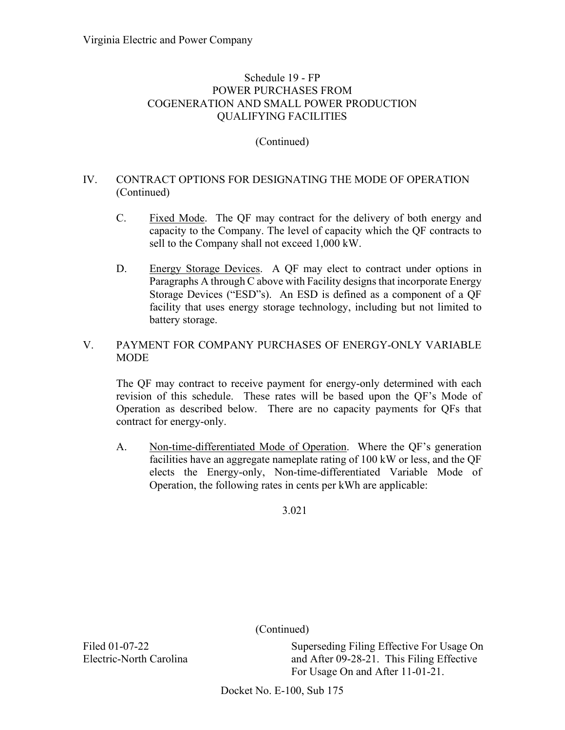# (Continued)

# IV. CONTRACT OPTIONS FOR DESIGNATING THE MODE OF OPERATION (Continued)

- C. Fixed Mode. The QF may contract for the delivery of both energy and capacity to the Company. The level of capacity which the QF contracts to sell to the Company shall not exceed 1,000 kW.
- D. Energy Storage Devices. A QF may elect to contract under options in Paragraphs A through C above with Facility designs that incorporate Energy Storage Devices ("ESD"s). An ESD is defined as a component of a QF facility that uses energy storage technology, including but not limited to battery storage.

# V. PAYMENT FOR COMPANY PURCHASES OF ENERGY-ONLY VARIABLE **MODE**

The QF may contract to receive payment for energy-only determined with each revision of this schedule. These rates will be based upon the QF's Mode of Operation as described below. There are no capacity payments for QFs that contract for energy-only.

A. Non-time-differentiated Mode of Operation. Where the QF's generation facilities have an aggregate nameplate rating of 100 kW or less, and the QF elects the Energy-only, Non-time-differentiated Variable Mode of Operation, the following rates in cents per kWh are applicable:

3.021

(Continued)

Superseding Filing Effective For Usage On and After 09-28-21. This Filing Effective For Usage On and After 11-01-21.

Docket No. E-100, Sub 175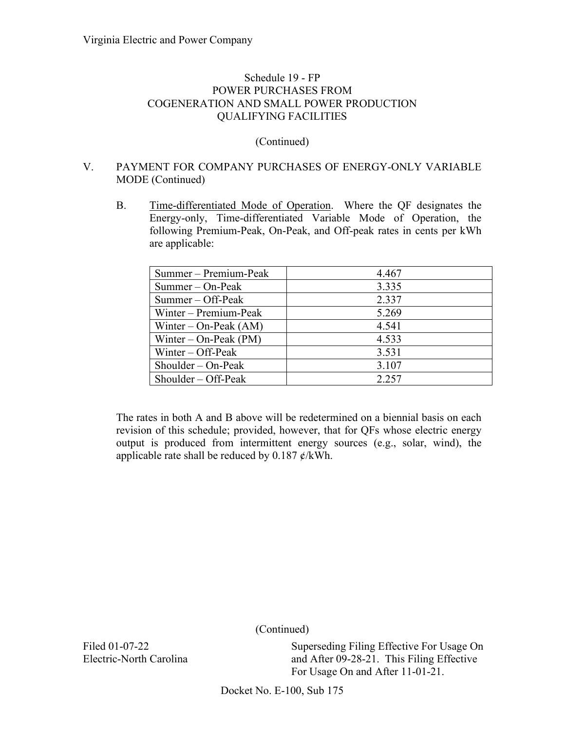### (Continued)

## V. PAYMENT FOR COMPANY PURCHASES OF ENERGY-ONLY VARIABLE MODE (Continued)

B. Time-differentiated Mode of Operation. Where the QF designates the Energy-only, Time-differentiated Variable Mode of Operation, the following Premium-Peak, On-Peak, and Off-peak rates in cents per kWh are applicable:

| Summer – Premium-Peak   | 4.467 |
|-------------------------|-------|
| $Summer - On-Peak$      | 3.335 |
| $Summer - Off-Peak$     | 2.337 |
| Winter – Premium-Peak   | 5.269 |
| Winter – On-Peak $(AM)$ | 4.541 |
| Winter – On-Peak $(PM)$ | 4.533 |
| Winter $-$ Off-Peak     | 3.531 |
| Shoulder – On-Peak      | 3.107 |
| $Shoulder - Off-Peak$   | 2.257 |

The rates in both A and B above will be redetermined on a biennial basis on each revision of this schedule; provided, however, that for QFs whose electric energy output is produced from intermittent energy sources (e.g., solar, wind), the applicable rate shall be reduced by  $0.187 \frac{\cancel{\ }t}{\cancel{k}}$ Wh.

(Continued)

Filed 01-07-22 Electric-North Carolina

Superseding Filing Effective For Usage On and After 09-28-21. This Filing Effective For Usage On and After 11-01-21.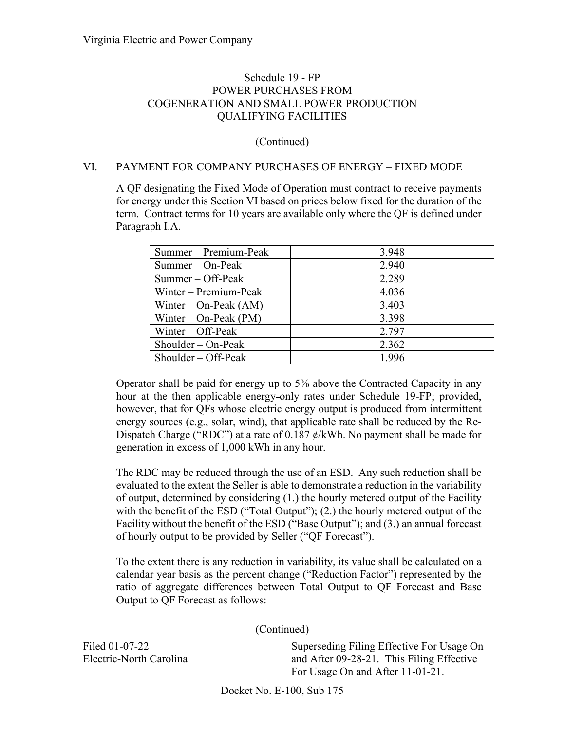(Continued)

### VI. PAYMENT FOR COMPANY PURCHASES OF ENERGY – FIXED MODE

A QF designating the Fixed Mode of Operation must contract to receive payments for energy under this Section VI based on prices below fixed for the duration of the term. Contract terms for 10 years are available only where the QF is defined under Paragraph I.A.

| Summer – Premium-Peak   | 3.948 |
|-------------------------|-------|
| $Summer - On-Peak$      | 2.940 |
| Summer – Off-Peak       | 2.289 |
| Winter – Premium-Peak   | 4.036 |
| Winter – On-Peak $(AM)$ | 3.403 |
| Winter – On-Peak $(PM)$ | 3.398 |
| Winter $-$ Off-Peak     | 2.797 |
| Shoulder – On-Peak      | 2.362 |
| $Shoulder - Off-Peak$   | 1.996 |

Operator shall be paid for energy up to 5% above the Contracted Capacity in any hour at the then applicable energy-only rates under Schedule 19-FP; provided, however, that for QFs whose electric energy output is produced from intermittent energy sources (e.g., solar, wind), that applicable rate shall be reduced by the Re-Dispatch Charge ("RDC") at a rate of 0.187  $\phi$ /kWh. No payment shall be made for generation in excess of 1,000 kWh in any hour.

The RDC may be reduced through the use of an ESD. Any such reduction shall be evaluated to the extent the Seller is able to demonstrate a reduction in the variability of output, determined by considering (1.) the hourly metered output of the Facility with the benefit of the ESD ("Total Output"); (2.) the hourly metered output of the Facility without the benefit of the ESD ("Base Output"); and (3.) an annual forecast of hourly output to be provided by Seller ("QF Forecast").

To the extent there is any reduction in variability, its value shall be calculated on a calendar year basis as the percent change ("Reduction Factor") represented by the ratio of aggregate differences between Total Output to QF Forecast and Base Output to QF Forecast as follows:

(Continued)

Filed 01-07-22 Electric-North Carolina

Superseding Filing Effective For Usage On and After 09-28-21. This Filing Effective For Usage On and After 11-01-21.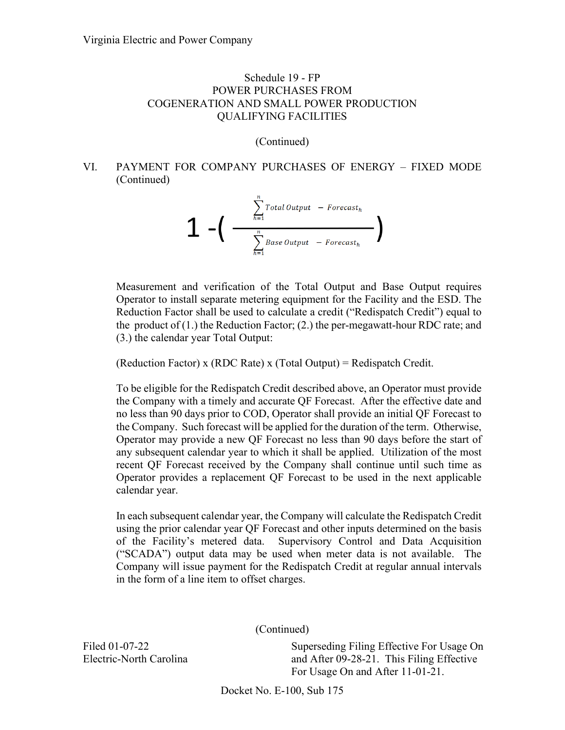(Continued)

# VI. PAYMENT FOR COMPANY PURCHASES OF ENERGY – FIXED MODE (Continued)

$$
\mathbf{1} - \left( \begin{array}{c} \sum_{h=1}^{n} \text{Total Output} - \text{Forecast}_{h} \\ \sum_{h=1}^{n} \text{Base Output} - \text{Forecast}_{h} \end{array} \right)
$$

Measurement and verification of the Total Output and Base Output requires Operator to install separate metering equipment for the Facility and the ESD. The Reduction Factor shall be used to calculate a credit ("Redispatch Credit") equal to the product of  $(1)$  the Reduction Factor;  $(2)$  the per-megawatt-hour RDC rate; and (3.) the calendar year Total Output:

(Reduction Factor) x (RDC Rate) x (Total Output) = Redispatch Credit.

To be eligible for the Redispatch Credit described above, an Operator must provide the Company with a timely and accurate QF Forecast. After the effective date and no less than 90 days prior to COD, Operator shall provide an initial QF Forecast to the Company. Such forecast will be applied for the duration of the term. Otherwise, Operator may provide a new QF Forecast no less than 90 days before the start of any subsequent calendar year to which it shall be applied. Utilization of the most recent QF Forecast received by the Company shall continue until such time as Operator provides a replacement QF Forecast to be used in the next applicable calendar year.

In each subsequent calendar year, the Company will calculate the Redispatch Credit using the prior calendar year QF Forecast and other inputs determined on the basis of the Facility's metered data. Supervisory Control and Data Acquisition ("SCADA") output data may be used when meter data is not available. The Company will issue payment for the Redispatch Credit at regular annual intervals in the form of a line item to offset charges.

(Continued)

Superseding Filing Effective For Usage On and After 09-28-21. This Filing Effective For Usage On and After 11-01-21.

Filed 01-07-22 Electric-North Carolina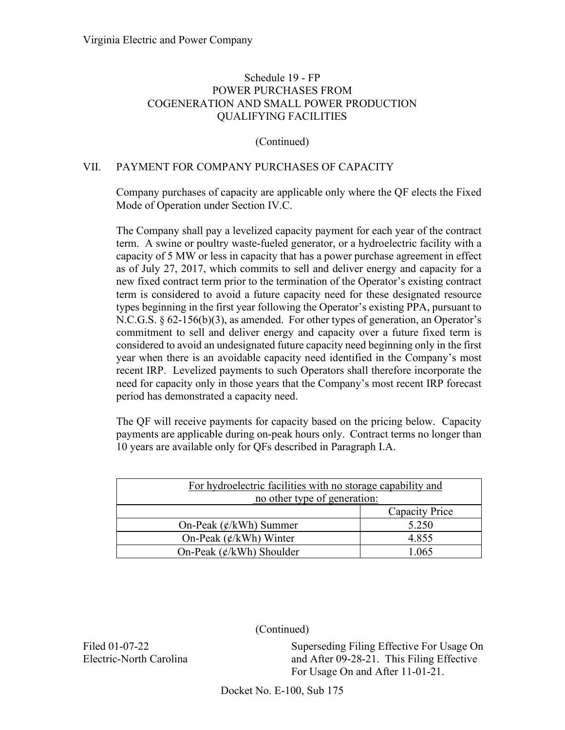## (Continued)

### VII. PAYMENT FOR COMPANY PURCHASES OF CAPACITY

Company purchases of capacity are applicable only where the QF elects the Fixed Mode of Operation under Section IV.C.

The Company shall pay a levelized capacity payment for each year of the contract term. A swine or poultry waste-fueled generator, or a hydroelectric facility with a capacity of 5 MW or less in capacity that has a power purchase agreement in effect as of July 27, 2017, which commits to sell and deliver energy and capacity for a new fixed contract term prior to the termination of the Operator's existing contract term is considered to avoid a future capacity need for these designated resource types beginning in the first year following the Operator's existing PPA, pursuant to N.C.G.S. § 62-156(b)(3), as amended. For other types of generation, an Operator's commitment to sell and deliver energy and capacity over a future fixed term is considered to avoid an undesignated future capacity need beginning only in the first year when there is an avoidable capacity need identified in the Company's most recent IRP. Levelized payments to such Operators shall therefore incorporate the need for capacity only in those years that the Company's most recent IRP forecast period has demonstrated a capacity need.

The QF will receive payments for capacity based on the pricing below. Capacity payments are applicable during on-peak hours only. Contract terms no longer than 10 years are available only for QFs described in Paragraph I.A.

| For hydroelectric facilities with no storage capability and |                |  |
|-------------------------------------------------------------|----------------|--|
| no other type of generation:                                |                |  |
|                                                             | Capacity Price |  |
| On-Peak $(\phi/kWh)$ Summer                                 | 5.250          |  |
| On-Peak $(\phi/kWh)$ Winter                                 | 4.855          |  |
| On-Peak $(\phi/kWh)$ Shoulder                               | 1.065          |  |

(Continued)

Filed 01-07-22 Electric-North Carolina Superseding Filing Effective For Usage On and After 09-28-21. This Filing Effective For Usage On and After 11-01-21.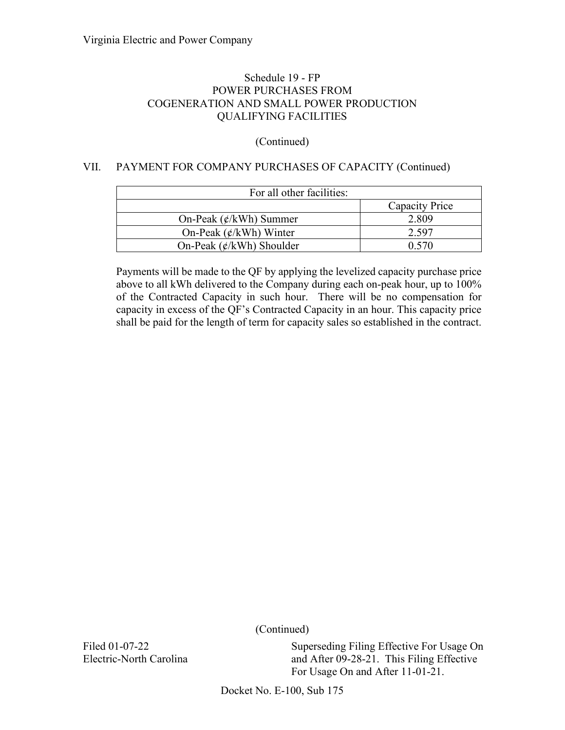# (Continued)

# VII. PAYMENT FOR COMPANY PURCHASES OF CAPACITY (Continued)

| For all other facilities:     |                |
|-------------------------------|----------------|
|                               | Capacity Price |
| On-Peak $(\phi/kWh)$ Summer   | 2.809          |
| On-Peak $(\phi/kWh)$ Winter   | 2.597          |
| On-Peak $(\phi/kWh)$ Shoulder | 0.570          |

Payments will be made to the QF by applying the levelized capacity purchase price above to all kWh delivered to the Company during each on-peak hour, up to 100% of the Contracted Capacity in such hour. There will be no compensation for capacity in excess of the QF's Contracted Capacity in an hour. This capacity price shall be paid for the length of term for capacity sales so established in the contract.

(Continued)

Filed 01-07-22 Electric-North Carolina Superseding Filing Effective For Usage On and After 09-28-21. This Filing Effective For Usage On and After 11-01-21.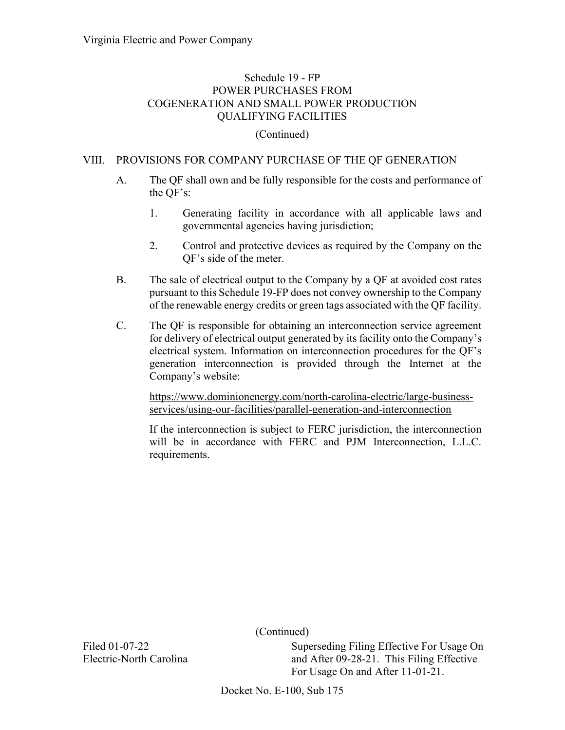#### (Continued)

### VIII. PROVISIONS FOR COMPANY PURCHASE OF THE QF GENERATION

- A. The QF shall own and be fully responsible for the costs and performance of the QF's:
	- 1. Generating facility in accordance with all applicable laws and governmental agencies having jurisdiction;
	- 2. Control and protective devices as required by the Company on the QF's side of the meter.
- B. The sale of electrical output to the Company by a QF at avoided cost rates pursuant to this Schedule 19-FP does not convey ownership to the Company of the renewable energy credits or green tags associated with the QF facility.
- C. The QF is responsible for obtaining an interconnection service agreement for delivery of electrical output generated by its facility onto the Company's electrical system. Information on interconnection procedures for the QF's generation interconnection is provided through the Internet at the Company's website:

[https://www.dominionenergy.com/north-carolina-electric/large-business](https://www.dominionenergy.com/north-carolina-electric/large-business-services/using-our-facilities/parallel-generation-and-interconnection)[services/using-our-facilities/parallel-generation-and-interconnection](https://www.dominionenergy.com/north-carolina-electric/large-business-services/using-our-facilities/parallel-generation-and-interconnection)

If the interconnection is subject to FERC jurisdiction, the interconnection will be in accordance with FERC and PJM Interconnection, L.L.C. requirements.

(Continued)

Superseding Filing Effective For Usage On and After 09-28-21. This Filing Effective For Usage On and After 11-01-21.

Filed 01-07-22 Electric-North Carolina